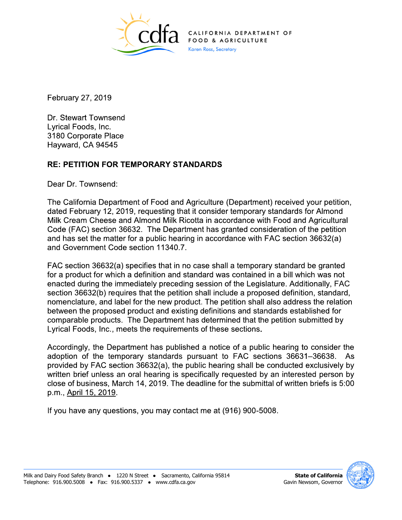

RNIA DEPARTMENT OF OOD & AGRICULTURE Karen Ross, Secretary

February 27, 2019

Dr. Stewart Townsend Lyrical Foods, Inc. 3180 Corporate Place Hayward, CA 94545

## **RE: PETITION FOR TEMPORARY STANDARDS**

Dear Dr. Townsend:

The California Department of Food and Agriculture (Department) received your petition, dated February 12, 2019, requesting that it consider temporary standards for Almond Milk Cream Cheese and Almond Milk Ricotta in accordance with Food and Agricultural Code (FAC) section 36632. The Department has granted consideration of the petition and has set the matter for a public hearing in accordance with FAC section 36632(a) and Government Code section 11340.7.

FAC section 36632(a) specifies that in no case shall a temporary standard be granted for a product for which a definition and standard was contained in a bill which was not enacted during the immediately preceding session of the Legislature. Additionally, FAC section 36632(b) requires that the petition shall include a proposed definition, standard, nomenclature, and label for the new product. The petition shall also address the relation between the proposed product and existing definitions and standards established for comparable products. The Department has determined that the petition submitted by Lyrical Foods, Inc., meets the requirements of these sections.

Accordingly, the Department has published a notice of a public hearing to consider the adoption of the temporary standards pursuant to FAC sections 36631–36638. As provided by FAC section 36632(a), the public hearing shall be conducted exclusively by written brief unless an oral hearing is specifically requested by an interested person by close of business, March 14, 2019. The deadline for the submittal of written briefs is 5:00 p.m., April 15, 2019.

If you have any questions, you may contact me at (916) 900-5008.